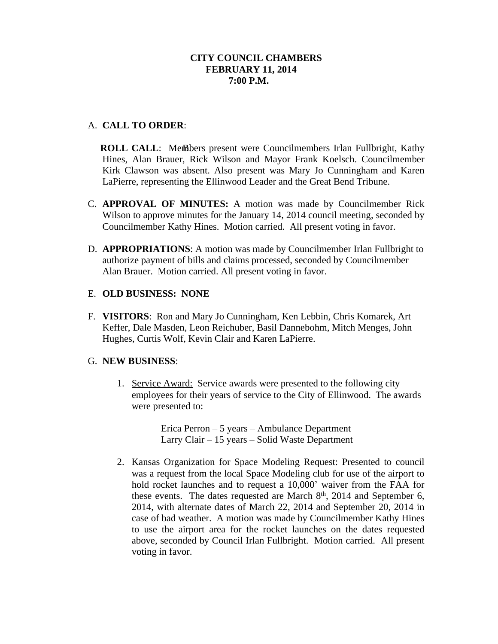# A. **CALL TO ORDER**:

**ROLL CALL:** Members present were Councilmembers Irlan Fullbright, Kathy Hines, Alan Brauer, Rick Wilson and Mayor Frank Koelsch. Councilmember Kirk Clawson was absent. Also present was Mary Jo Cunningham and Karen LaPierre, representing the Ellinwood Leader and the Great Bend Tribune.

- C. **APPROVAL OF MINUTES:** A motion was made by Councilmember Rick Wilson to approve minutes for the January 14, 2014 council meeting, seconded by Councilmember Kathy Hines. Motion carried. All present voting in favor.
- D. **APPROPRIATIONS**: A motion was made by Councilmember Irlan Fullbright to authorize payment of bills and claims processed, seconded by Councilmember Alan Brauer. Motion carried. All present voting in favor.

## E. **OLD BUSINESS: NONE**

F. **VISITORS**: Ron and Mary Jo Cunningham, Ken Lebbin, Chris Komarek, Art Keffer, Dale Masden, Leon Reichuber, Basil Dannebohm, Mitch Menges, John Hughes, Curtis Wolf, Kevin Clair and Karen LaPierre.

## G. **NEW BUSINESS**:

1. Service Award: Service awards were presented to the following city employees for their years of service to the City of Ellinwood. The awards were presented to:

> Erica Perron – 5 years – Ambulance Department Larry Clair – 15 years – Solid Waste Department

2. Kansas Organization for Space Modeling Request: Presented to council was a request from the local Space Modeling club for use of the airport to hold rocket launches and to request a 10,000' waiver from the FAA for these events. The dates requested are March 8<sup>th</sup>, 2014 and September 6, 2014, with alternate dates of March 22, 2014 and September 20, 2014 in case of bad weather. A motion was made by Councilmember Kathy Hines to use the airport area for the rocket launches on the dates requested above, seconded by Council Irlan Fullbright. Motion carried. All present voting in favor.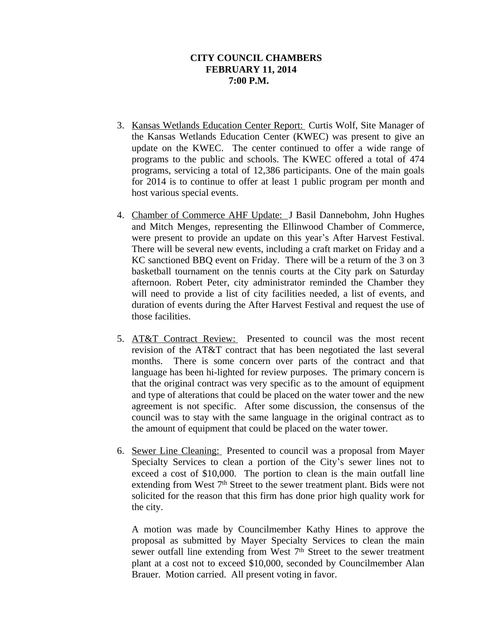- 3. Kansas Wetlands Education Center Report: Curtis Wolf, Site Manager of the Kansas Wetlands Education Center (KWEC) was present to give an update on the KWEC. The center continued to offer a wide range of programs to the public and schools. The KWEC offered a total of 474 programs, servicing a total of 12,386 participants. One of the main goals for 2014 is to continue to offer at least 1 public program per month and host various special events.
- 4. Chamber of Commerce AHF Update: J Basil Dannebohm, John Hughes and Mitch Menges, representing the Ellinwood Chamber of Commerce, were present to provide an update on this year's After Harvest Festival. There will be several new events, including a craft market on Friday and a KC sanctioned BBQ event on Friday. There will be a return of the 3 on 3 basketball tournament on the tennis courts at the City park on Saturday afternoon. Robert Peter, city administrator reminded the Chamber they will need to provide a list of city facilities needed, a list of events, and duration of events during the After Harvest Festival and request the use of those facilities.
- 5. AT&T Contract Review: Presented to council was the most recent revision of the AT&T contract that has been negotiated the last several months. There is some concern over parts of the contract and that language has been hi-lighted for review purposes. The primary concern is that the original contract was very specific as to the amount of equipment and type of alterations that could be placed on the water tower and the new agreement is not specific. After some discussion, the consensus of the council was to stay with the same language in the original contract as to the amount of equipment that could be placed on the water tower.
- 6. Sewer Line Cleaning: Presented to council was a proposal from Mayer Specialty Services to clean a portion of the City's sewer lines not to exceed a cost of \$10,000. The portion to clean is the main outfall line extending from West 7<sup>th</sup> Street to the sewer treatment plant. Bids were not solicited for the reason that this firm has done prior high quality work for the city.

A motion was made by Councilmember Kathy Hines to approve the proposal as submitted by Mayer Specialty Services to clean the main sewer outfall line extending from West 7<sup>th</sup> Street to the sewer treatment plant at a cost not to exceed \$10,000, seconded by Councilmember Alan Brauer. Motion carried. All present voting in favor.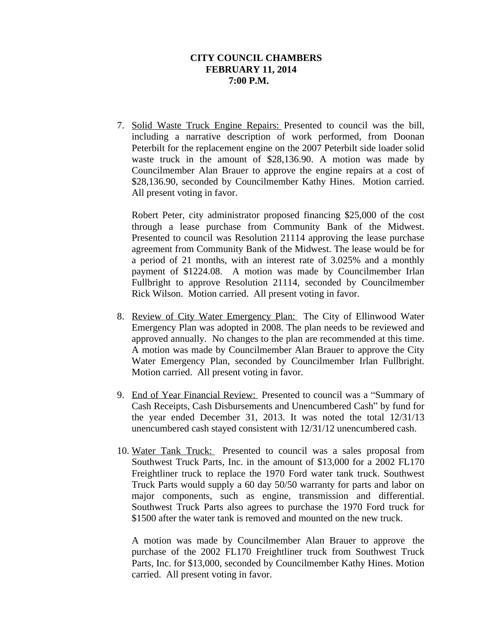7. Solid Waste Truck Engine Repairs: Presented to council was the bill, including a narrative description of work performed, from Doonan Peterbilt for the replacement engine on the 2007 Peterbilt side loader solid waste truck in the amount of \$28,136.90. A motion was made by Councilmember Alan Brauer to approve the engine repairs at a cost of \$28,136.90, seconded by Councilmember Kathy Hines. Motion carried. All present voting in favor.

Robert Peter, city administrator proposed financing \$25,000 of the cost through a lease purchase from Community Bank of the Midwest. Presented to council was Resolution 21114 approving the lease purchase agreement from Community Bank of the Midwest. The lease would be for a period of 21 months, with an interest rate of 3.025% and a monthly payment of \$1224.08. A motion was made by Councilmember Irlan Fullbright to approve Resolution 21114, seconded by Councilmember Rick Wilson. Motion carried. All present voting in favor.

- 8. Review of City Water Emergency Plan: The City of Ellinwood Water Emergency Plan was adopted in 2008. The plan needs to be reviewed and approved annually. No changes to the plan are recommended at this time. A motion was made by Councilmember Alan Brauer to approve the City Water Emergency Plan, seconded by Councilmember Irlan Fullbright. Motion carried. All present voting in favor.
- 9. End of Year Financial Review: Presented to council was a "Summary of Cash Receipts, Cash Disbursements and Unencumbered Cash" by fund for the year ended December 31, 2013. It was noted the total 12/31/13 unencumbered cash stayed consistent with 12/31/12 unencumbered cash.
- 10. Water Tank Truck: Presented to council was a sales proposal from Southwest Truck Parts, Inc. in the amount of \$13,000 for a 2002 FL170 Freightliner truck to replace the 1970 Ford water tank truck. Southwest Truck Parts would supply a 60 day 50/50 warranty for parts and labor on major components, such as engine, transmission and differential. Southwest Truck Parts also agrees to purchase the 1970 Ford truck for \$1500 after the water tank is removed and mounted on the new truck.

A motion was made by Councilmember Alan Brauer to approve the purchase of the 2002 FL170 Freightliner truck from Southwest Truck Parts, Inc. for \$13,000, seconded by Councilmember Kathy Hines. Motion carried. All present voting in favor.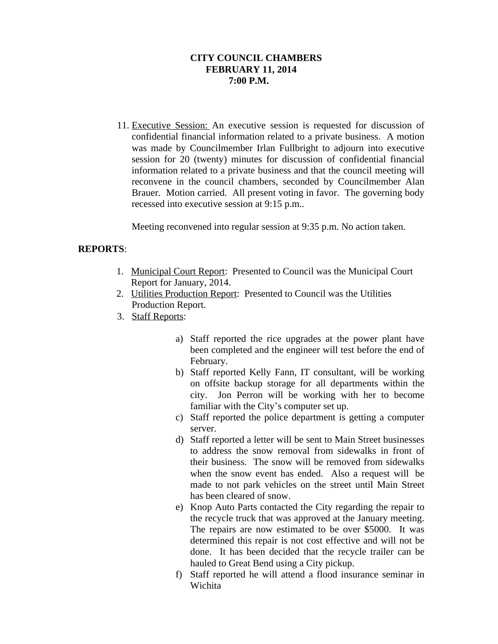11. Executive Session: An executive session is requested for discussion of confidential financial information related to a private business. A motion was made by Councilmember Irlan Fullbright to adjourn into executive session for 20 (twenty) minutes for discussion of confidential financial information related to a private business and that the council meeting will reconvene in the council chambers, seconded by Councilmember Alan Brauer. Motion carried. All present voting in favor. The governing body recessed into executive session at 9:15 p.m..

Meeting reconvened into regular session at 9:35 p.m. No action taken.

## **REPORTS**:

- 1. Municipal Court Report: Presented to Council was the Municipal Court Report for January, 2014.
- 2. Utilities Production Report: Presented to Council was the Utilities Production Report.
- 3. Staff Reports:
	- a) Staff reported the rice upgrades at the power plant have been completed and the engineer will test before the end of February.
	- b) Staff reported Kelly Fann, IT consultant, will be working on offsite backup storage for all departments within the city. Jon Perron will be working with her to become familiar with the City's computer set up.
	- c) Staff reported the police department is getting a computer server.
	- d) Staff reported a letter will be sent to Main Street businesses to address the snow removal from sidewalks in front of their business. The snow will be removed from sidewalks when the snow event has ended. Also a request will be made to not park vehicles on the street until Main Street has been cleared of snow.
	- e) Knop Auto Parts contacted the City regarding the repair to the recycle truck that was approved at the January meeting. The repairs are now estimated to be over \$5000. It was determined this repair is not cost effective and will not be done. It has been decided that the recycle trailer can be hauled to Great Bend using a City pickup.
	- f) Staff reported he will attend a flood insurance seminar in Wichita